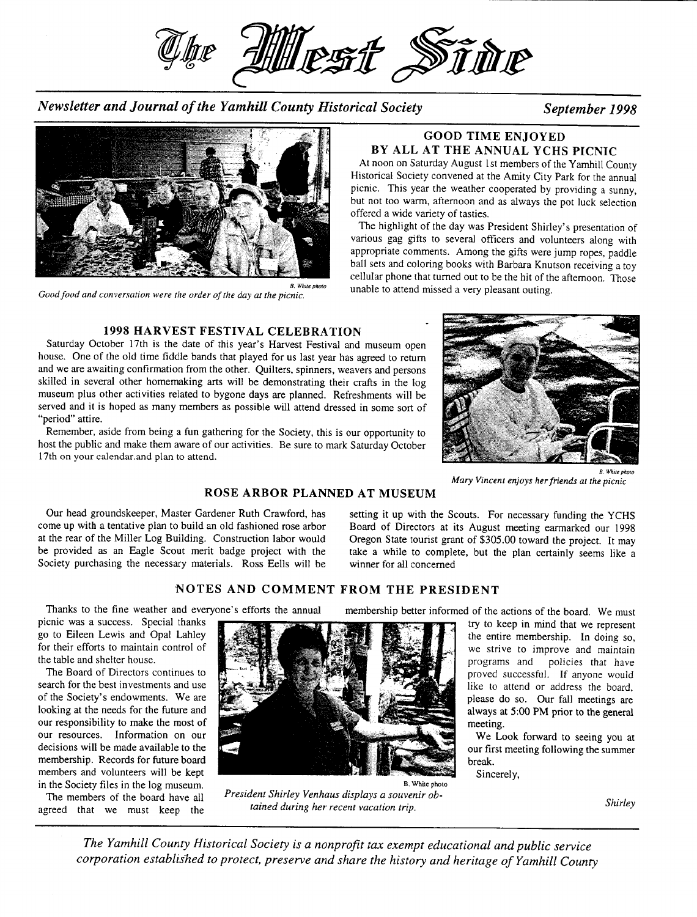

*Newsletter and Journal of the Yamhill County Historical Society September 1998* 



*Good food and conversation were the order of the day at the picnic.* 

# **1998 HARVEST FESTIVAL CELEBRATION**

Saturday October 17th is the date of this year's Harvest Festival and museum open house. One of the old time fiddle bands that played for us last year has agreed to return and we are awaiting confirmation from the other. Quilters, spinners, weavers and persons skilled in several other homemaking arts will be demonstrating their crafts in the log museum plus other activities related to bygone days are planned. Refreshments will be served and it is hoped as many members as possible will attend dressed in some sort of "period" attire.

Remember, aside from being a fun gathering for the Society, this is our opportunity to host the public and make them aware of our activities. Be sure to mark Saturday October 17th on your calendar.and plan to attend.

# **GOO D TIM E ENJOYE D B Y AL L A T TH E ANNUA L YCH S PICNI C**

At noon on Saturday August 1st members of the Yamhill County Historical Society convened at the Amity City Park for the annual picnic. This year the weather cooperated by providing a sunny, but not too warm, afternoon and as always the pot luck selection offered a wide variety of tasties.

The highlight of the day was President Shirley's presentation of various gag gifts to several officers and volunteers along with appropriate comments. Among the gifts were jump ropes, paddle ball sets and coloring books with Barbara Knutson receiving a toy cellular phone that turned out to be the hit of the afternoon. Those unable to attend missed a very pleasant outing.



*Mary Vincent enjoys her friends at the picnic* 

## **ROSE ARBOR PLANNED AT MUSEUM**

Our head groundskeeper. Master Gardener Ruth Crawford, has come up with a tentative plan to build an old fashioned rose arbor at the rear of the Miller Log Building. Construction labor would be provided as an Eagle Scout merit badge project with the Society purchasing the necessary materials. Ross Eells will be

setting it up with the Scouts. For necessary funding the YCHS Board of Directors at its August meeting earmarked our 1998 Oregon State tourist grant of \$305.00 toward the project. It may take a while to complete, but the plan certainly seems like a winner for all concerned

### **NOTE S AN D COMMEN T FRO M TH E PRESIDEN T**

picnic was a success. Special thanks go to Eileen Lewis and Opal Lahley for their efforts to maintain control of the table and shelter house.

The Board of Directors continues to search for the best investments and use of the Society's endowments. We are looking at the needs for the future and our responsibility to make the most of our resources. Information on our decisions will be made available to the membership. Records for future board members and volunteers will be kept in the Society files in the log museum.

The members of the board have all agreed that we must keep the



*President Shirley Venhaus displays a souvenir obtained during her recent vacation trip.* 

Thanks to the fine weather and everyone's efforts the annual membership better informed of the actions of the board. We must

try to keep in mind that we represent the entire membership. In doing so, we strive to improve and maintain programs and policies that have proved successful. If anyone would like to attend or address the board, please do so. Our fall meetings are always at 5:00 PM prior to the general meeting.

We Look forward to seeing you at our first meeting following the summer break.

Sincerely,

*Shirley* 

*The Yamhill County Historical Society is a nonprofit tax exempt educational and public service corporation establislted to protect, preserve and share the history and heritage of Yamhill County*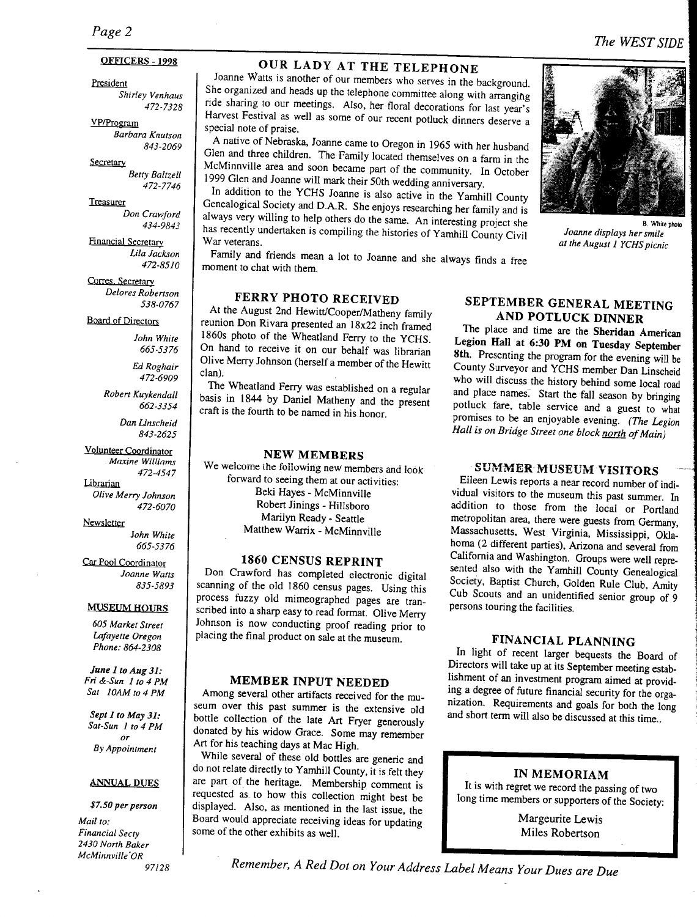# *Page 2*

### OFFICERS - 1998

President *Shirley Venhaus 472-7328* 

VP/Program *Barbara Knutson 843-2069* 

**Secretary** 

*Betty Baltzell 472-7746* 

**Treasurer** *Don Crawford 434-9843* 

**Financial Secretary**  *Lila Jackson 472-8510* 

**Corres**. Secretary *Delores Robertson 538-0767* 

**Board of Directors** 

*John White 665-5376* 

*Ed Roghair 472-6909* 

*Robert Kuykendall 662-3354* 

> *Dan Linscheid 843-2625*

Volunteer Coordinator *Maxine Willinms 472-4547* 

Librarian *Olive Merry Johnson 472-6070* 

Newsletter

*}ohn White 665-5376* 

Car Pool Coordinator *Joanne Watts 835-5893* 

### **MUSEUM HOURS**

*605 Market Street Lafayette Oregon Phone: 864-2308* 

*June 1 to Aug 31: Fri &-Sun 1 to 4 PM Sat 10AM to 4 PM* 

*Sept I to May 31: Sat-Sun 1 to 4 PM*   $\overline{or}$ *By Appointment* 

### **ANNUAL DUES**

*\$7.50 per person Mail to: Financial Secty 2430 North Baker McMinnville'OR* 

*97128* 

### **OUR LADY AT THE TELEPHONE** Joanne Watter is another of our members who serves in the background.

Source way is another of our members who serves in the background. She organized and heads up the telephone committee along with arranging ride sharing to our meetings. Also, her floral decorations for last year's Harvest Festival as well as some of our recent potluck dinners deserve a special note of praise.  $\Lambda$  native of Mebraska, Joanne came to Oregon in 1965 with her husband in 1965 with her husband in 1965 with her husband in 1965 with her husband in 1965 with her husband in 1965 with her husband in 1965 with her husband

 $\frac{1}{2}$  matrix of ricolaska, joanne came to Oregon in 1965 with her husband Glen and three children. The Family located themselves on a farm in the McMinnville area and soon became part of the community. In October 1999 Glen and Joanne will mark their 50th wedding anniversary.<br>In addition to the YCHS Joanne is also active in the Yamhill County

 $\frac{1}{2}$  and  $\frac{1}{2}$  County researching her family  $\frac{1}{2}$  and  $\frac{1}{2}$  and  $\frac{1}{2}$  and  $\frac{1}{2}$  and  $\frac{1}{2}$  and  $\frac{1}{2}$  and  $\frac{1}{2}$  and  $\frac{1}{2}$  and  $\frac{1}{2}$  and  $\frac{1}{2}$  and  $\frac{1}{2}$  and  $\frac{1}{2}$  and always very willing to help of  $P$ . Since enjoys researching her family and is always very willing to help others do the same. An interesting project she has recently undertaken is compiling the histories of Yamhill County Civil<br>War veterans.  $F_{\text{m}}$  for and friends mean a lot to  $J$ 

moment to chat with them.

# **FERRY PHOTO RECEIVED**

At the August 2nd Hewitt/Cooper/Matheny family reunion Don Rivara presented an 18x22 inch framed 1860s photo of the Wheatland Ferry to the YCHS. On hand to receive it on our behalf was librarian  $\frac{1}{2}$  merry to receive it on our behalf was hibrarian can).<br>nn). y:<br>22 Wheatland Ferry was established on a regular

basis in 1944 by Daniel Mathematica on a regular basis in 1844 by Daniel Matheny and the present craft is the fourth to be named in his honor.

### **N E W MEMBER S**  We welcome the following new members and look

for the forward them at  $\frac{1}{2}$  for  $\frac{1}{2}$  for  $\frac{1}{2}$  for a set of  $\frac{1}{2}$ forward to seeing them at our activities:<br>Beki Hayes - McMinnville  $R_{\text{max}}$   $\sum_{i=1}^{n}$   $\sum_{i=1}^{n}$  $\mathbb{R}^2$  -  $\mathbb{R}^2$  -  $\mathbb{R}^2$  -  $\mathbb{R}^2$  -  $\mathbb{R}^2$  -  $\mathbb{R}^2$ Marilyn Ready - Seattle<br>Matthew Warrix - McMinnville

# 1860 CENSUS REPRINT

Don Crawford has completed electronic digital scanning of the old 1860 census pages. Using this process fuzzy old mimeographed pages are transcoot razzy or infinite a sharp pages are trans- $\frac{3}{2}$  and  $\frac{3}{2}$  variable prior to read format. Only experience to  $\frac{3}{2}$ Johnson is now conducting proof reading prior to placing the final product on sale at the museum.

### **MEMBE R INPU T NEEDE D**

Among several other artifacts received for the musevering severing outer antifacts received for the mu- $\frac{1}{2}$  collection of the late  $\frac{1}{2}$ bottle collection of the late Art Fryer generously donated by his widow Grace. Some may remember Art for his teaching days at Mac High.

While several of these old bottles are generic and do not relate directly to Yamhill County, it is felt the water  $\frac{1}{2}$  are part of the heritage. Membership community, it is felt they are part of the heritage. Membership comment is requested as to how this collection might best be displayed. Also, as mentioned in the last issue, the  $B_0$  as including in the fast issue, the some of the other exhibits as well.

### **A N D POTLUC K DINNE R AND POTLUCK DINNER**

The place and time are the Sheridan American Legion Hall at 6:30 PM on Tuesday September 8th. Presenting the program for the evening will be County Surveyor and YCHS member Dan Linscheid who will discuss the history behind some local road and place names. Start the fall season by bringing potluck fare, table service and a guest to what *Promises to be an enjoyable evening. (The Legion Hall is on Bridge Street one block north of Main)* 

### SUMMER MUSEUM VISITORS and in

Eileen Lewis reports a near record number of individual visitors to the museum this past summer. In addition to those from the local or Portland metropolitan area, there were guests from Germany, Massachusetts, West Virginia, Mississippi, Oklahoma (2 different parties), Arizona and several from California and Washington. Groups were well represented also with the Yamhill County Genealogical Society, Baptist Church, Golden Rule Club, Amity Cub Scouts and an unidentified senior group of 9 persons touring the facilities.

In light of recent larger bequests the Board of Directors will take up at its September meeting establishment of an investment program aimed at providing a degree of future financial security for the organization. Requirements and goals for both the long<br>and short term will also be discussed at this time..



Margeurite Lewis<br>Miles Robertson

B . While phoio

**B**. White photo *Joanne displays her smile* at the August 1 YCHS picnic



# *Remember, A Red Dot on Your Address Label Means Your Dues are Due*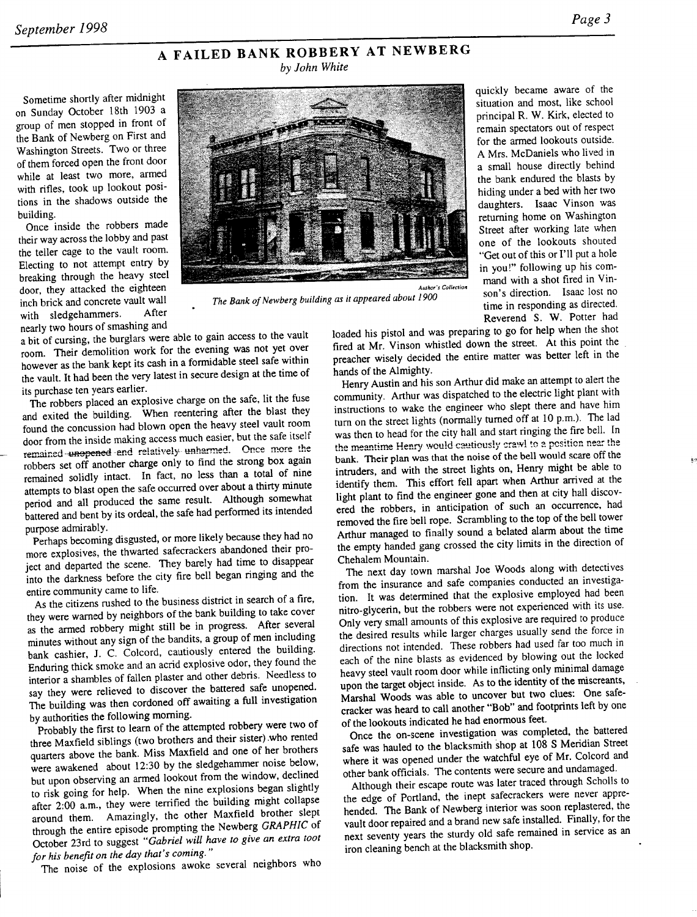quickly became aware of the situation and most, like school principal R. W. Kirk, elected to remain spectators out of respect for the armed lookouts outside. A Mrs. McDaniels who lived in a small house directly behind the bank endured the blasts by hiding under a bed with her two daughters. Isaac Vinson was returning home on Washington Street after working late when one of the lookouts shouted "Get out of this or I'll put a hole in you!" following up his command with a shot fired in Vinson's direction. Isaac lost no time in responding as directed. Reverend S. W. Potter had

## **A FAILE D BANK ROBBER Y AT NEWBER G**  *by John White*

ometime shortly after midnight  $\Box$ on Sunday October 18th 1903 a group of men stopped in front of the Bank of Newberg on First and Washington Streets. Two or three of them forced open the front door while at least two more, armed with rifles, took up lookout positions in the shadows outside the building.

Once inside the robbers made their way across the lobby and past the teller cage to the vault room. Electing to not attempt entry by breaking through the heavy steel door, they attacked the eighteen inch brick and concrete vault wall<br>with sledgehammers. After with sledgehammers. nearly two hours of smashing and



*The Bank of Newberg building as it appeared about 1900* 

a bit of cursing, the burglars were able to gain access to the vault room. Their demolition work for the evening was not yet over however as the bank kept its cash in a formidable steel safe within the vault. It had been the very latest in secure design at the time of its purchase ten years earlier.  $\mu$  robbers placed and explosive charge on the same safety charge on the same safety charge on the safe on the function of  $\mu$ 

The robbers placed an explosive charge on the safe, in the fuse and exited the building. When reentering after the blast they found the concussion had blown open the heavy steel vault room door from the inside making access much easier, but the safe itself remained unopened and relatively unharmed. Once more the robbers set off another charge only to find the strong box again remained solidly intact. In fact, no less than a total of nine attempts to blast open the safe occurred over about a thirty minute period and all produced the same result. Although somewhat battered and bent by its ordeal, the safe had performed its intended pose admirably. The community becomes the community because they had not more likely because they had not had no

Perhaps becoming disgusted, or more likely because they had no more explosives, the thwarted safecrackers abandoned their project and departed the scene. They barely had time to disappear into the darkness before the city fire bell began ringing and the entire community came to life.

As the citizens rushed to the business district in search of a fire, they were warned by neighbors of the bank building to take cover as the armed robbery might still be in progress. After several minutes without any sign of the bandits, a group of men including bank cashier, J. C. Colcord, cautiously entered the building. Enduring thick smoke and an acrid explosive odor, they found the interior a shambles of fallen plaster and other debris. Needless to say they were relieved to discover the battered safe unopened. The building was then cordoned off awaiting a full investigation by authorities the following morning.

Probably the first to learn of the attempted robbery were two of three Maxfield siblings (two brothers and their sister) who rented quarters above the bank. Miss Maxfield and one of her brothers were awakened about 12:30 by the sledgehammer noise below, but upon observing an armed lookout from the window, declined to risk going for help. When the nine explosions began slightly after 2.00 a.m., they were terrified the building might collapse around them. Amazingly, the other Maxfield brother slept through the entire episode prompting the Newberg GRAPHIC of October 23rd to suggest "Gabriel will have to give an extra toot for his benefit on the day that's coming."<br>The noise of the explosions awoke several neighbors who

loaded his pistol and was preparing to go for help when the shot fired at Mr. Vinson whistled down the street. At this point the prediction with the entire matter was better left in the raction wisely decided.

hands of the Almighty.<br>Henry Austin and his son Arthur did make an attempt to alert the community. Arthur was dispatched to the electric light plant with instructions to wake the engineer who slept there and have him turn on the street lights (normally turned off at 10 p.m.). The lad was then to head for the city hall and start ringing the fire bell. In the meantime Henry would cautiously crawl to a position near the bank. Their plan was that the noise of the bell would scare off the intruders, and with the street lights on, Henry might be able to identify them. This effort fell apart when Arthur arrived at the light plant to find the engineer gone and then at city hall discovered the robbers, in anticipation of such an occurrence, had removed the fire bell rope. Scrambling to the top of the bell tower Arthur managed to finally sound a belated alarm about the time the empty handed gang crossed the city limits in the direction of Compty nanaod gang

The next day town marshal Joe Woods along with detectives from the insurance and safe companies conducted an investigation. It was determined that the explosive employed had been nitro-glycerin, but the robbers were not experienced with its use. Only very small amounts of this explosive are required to produce the desired results while larger charges usually send the force in directions not intended. These robbers had used far too much in each of the nine blasts as evidenced by blowing out the locked heavy steel vault room door while inflicting only minimal damage upon the target object inside. As to the identity of the miscreants. Marshal Woods was able to uncover but two clues: One safecracker was heard to call another "Bob" and footprints left by one of the lookouts indicated he had enormous feet.

Once the on-scene investigation was completed, the battered safe was hauled to the blacksmith shop at 108 S Meridian Street where it was opened under the watchful eye of Mr. Colcord and other bank officials. The contents were secure and undamaged.

Although their escape route was later traced through Scholls to the edge of Portland, the inept safecrackers were never apprehended. The Bank of Newberg interior was soon replastered, the vault door repaired and a brand new safe installed. Finally, for the next seventy years the sturdy old safe remained in service as an iron cleaning bench at the blacksmith shop.